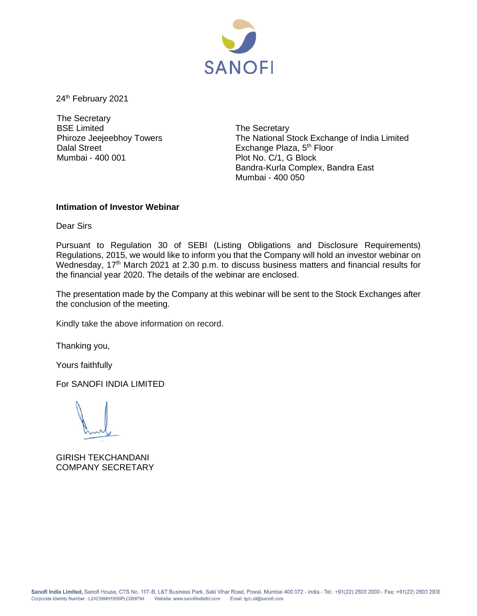

24<sup>th</sup> February 2021

The Secretary BSE Limited Phiroze Jeejeebhoy Towers Dalal Street Mumbai - 400 001

The Secretary The National Stock Exchange of India Limited Exchange Plaza, 5<sup>th</sup> Floor Plot No. C/1, G Block Bandra-Kurla Complex, Bandra East Mumbai - 400 050

## **Intimation of Investor Webinar**

Dear Sirs

Pursuant to Regulation 30 of SEBI (Listing Obligations and Disclosure Requirements) Regulations, 2015, we would like to inform you that the Company will hold an investor webinar on Wednesday, 17<sup>th</sup> March 2021 at 2.30 p.m. to discuss business matters and financial results for the financial year 2020. The details of the webinar are enclosed.

The presentation made by the Company at this webinar will be sent to the Stock Exchanges after the conclusion of the meeting.

Kindly take the above information on record.

Thanking you,

Yours faithfully

For SANOFI INDIA LIMITED

GIRISH TEKCHANDANI COMPANY SECRETARY